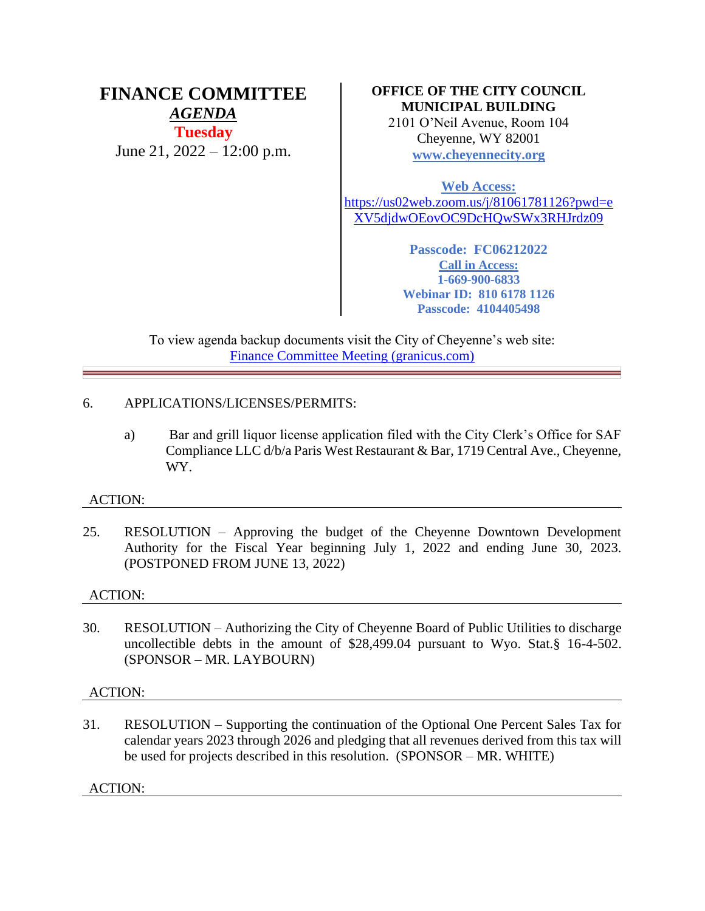# **FINANCE COMMITTEE** *AGENDA* **Tuesday** June 21, 2022 – 12:00 p.m.

# **OFFICE OF THE CITY COUNCIL MUNICIPAL BUILDING**

2101 O'Neil Avenue, Room 104 Cheyenne, WY 82001 **[www.cheyennecity.org](http://www.cheyennecity.org/)**

**Web Access:** [https://us02web.zoom.us/j/81061781126?pwd=e](https://us02web.zoom.us/j/81061781126?pwd=eXV5djdwOEovOC9DcHQwSWx3RHJrdz09) [XV5djdwOEovOC9DcHQwSWx3RHJrdz09](https://us02web.zoom.us/j/81061781126?pwd=eXV5djdwOEovOC9DcHQwSWx3RHJrdz09)

> **Passcode: FC06212022 Call in Access: 1-669-900-6833 Webinar ID: 810 6178 1126 Passcode: 4104405498**

To view agenda backup documents visit the City of Cheyenne's web site: [Finance Committee Meeting \(granicus.com\)](https://cheyenne.granicus.com/GeneratedAgendaViewer.php?event_id=1079)

# 6. APPLICATIONS/LICENSES/PERMITS:

a) Bar and grill liquor license application filed with the City Clerk's Office for SAF Compliance LLC d/b/a Paris West Restaurant & Bar, 1719 Central Ave., Cheyenne, WY.

# ACTION:

25. RESOLUTION – Approving the budget of the Cheyenne Downtown Development Authority for the Fiscal Year beginning July 1, 2022 and ending June 30, 2023. (POSTPONED FROM JUNE 13, 2022)

# ACTION:

30. RESOLUTION – Authorizing the City of Cheyenne Board of Public Utilities to discharge uncollectible debts in the amount of \$28,499.04 pursuant to Wyo. Stat.§ 16-4-502. (SPONSOR – MR. LAYBOURN)

# ACTION:

31. RESOLUTION – Supporting the continuation of the Optional One Percent Sales Tax for calendar years 2023 through 2026 and pledging that all revenues derived from this tax will be used for projects described in this resolution. (SPONSOR – MR. WHITE)

ACTION: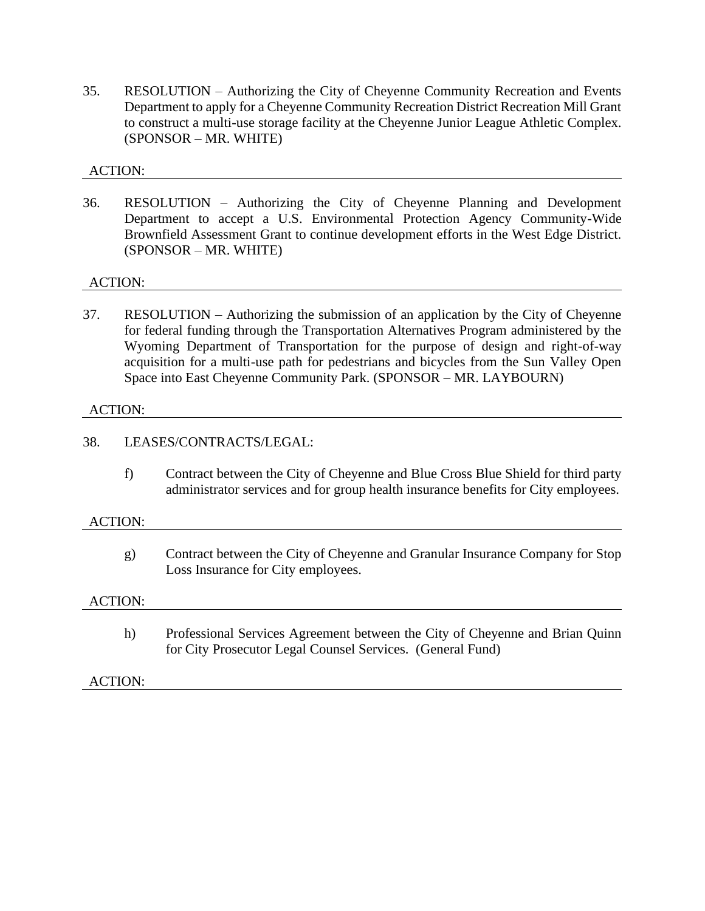35. RESOLUTION – Authorizing the City of Cheyenne Community Recreation and Events Department to apply for a Cheyenne Community Recreation District Recreation Mill Grant to construct a multi-use storage facility at the Cheyenne Junior League Athletic Complex. (SPONSOR – MR. WHITE)

# ACTION:

36. RESOLUTION – Authorizing the City of Cheyenne Planning and Development Department to accept a U.S. Environmental Protection Agency Community-Wide Brownfield Assessment Grant to continue development efforts in the West Edge District. (SPONSOR – MR. WHITE)

## ACTION:

37. RESOLUTION – Authorizing the submission of an application by the City of Cheyenne for federal funding through the Transportation Alternatives Program administered by the Wyoming Department of Transportation for the purpose of design and right-of-way acquisition for a multi-use path for pedestrians and bicycles from the Sun Valley Open Space into East Cheyenne Community Park. (SPONSOR – MR. LAYBOURN)

#### ACTION:

#### 38. LEASES/CONTRACTS/LEGAL:

f) Contract between the City of Cheyenne and Blue Cross Blue Shield for third party administrator services and for group health insurance benefits for City employees.

#### ACTION:

g) Contract between the City of Cheyenne and Granular Insurance Company for Stop Loss Insurance for City employees.

#### ACTION:

h) Professional Services Agreement between the City of Cheyenne and Brian Quinn for City Prosecutor Legal Counsel Services. (General Fund)

ACTION: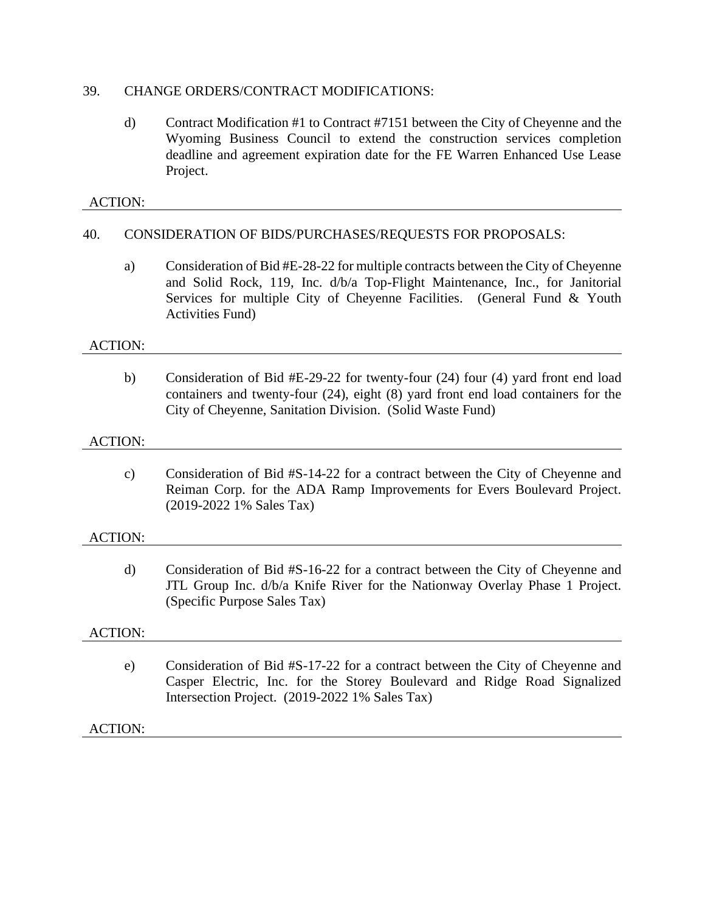## 39. CHANGE ORDERS/CONTRACT MODIFICATIONS:

d) Contract Modification #1 to Contract #7151 between the City of Cheyenne and the Wyoming Business Council to extend the construction services completion deadline and agreement expiration date for the FE Warren Enhanced Use Lease Project.

# ACTION:

# 40. CONSIDERATION OF BIDS/PURCHASES/REQUESTS FOR PROPOSALS:

a) Consideration of Bid #E-28-22 for multiple contracts between the City of Cheyenne and Solid Rock, 119, Inc. d/b/a Top-Flight Maintenance, Inc., for Janitorial Services for multiple City of Cheyenne Facilities. (General Fund & Youth Activities Fund)

#### ACTION:

b) Consideration of Bid #E-29-22 for twenty-four (24) four (4) yard front end load containers and twenty-four (24), eight (8) yard front end load containers for the City of Cheyenne, Sanitation Division. (Solid Waste Fund)

#### ACTION:

c) Consideration of Bid #S-14-22 for a contract between the City of Cheyenne and Reiman Corp. for the ADA Ramp Improvements for Evers Boulevard Project. (2019-2022 1% Sales Tax)

## ACTION:

d) Consideration of Bid #S-16-22 for a contract between the City of Cheyenne and JTL Group Inc. d/b/a Knife River for the Nationway Overlay Phase 1 Project. (Specific Purpose Sales Tax)

## ACTION:

e) Consideration of Bid #S-17-22 for a contract between the City of Cheyenne and Casper Electric, Inc. for the Storey Boulevard and Ridge Road Signalized Intersection Project. (2019-2022 1% Sales Tax)

## ACTION: